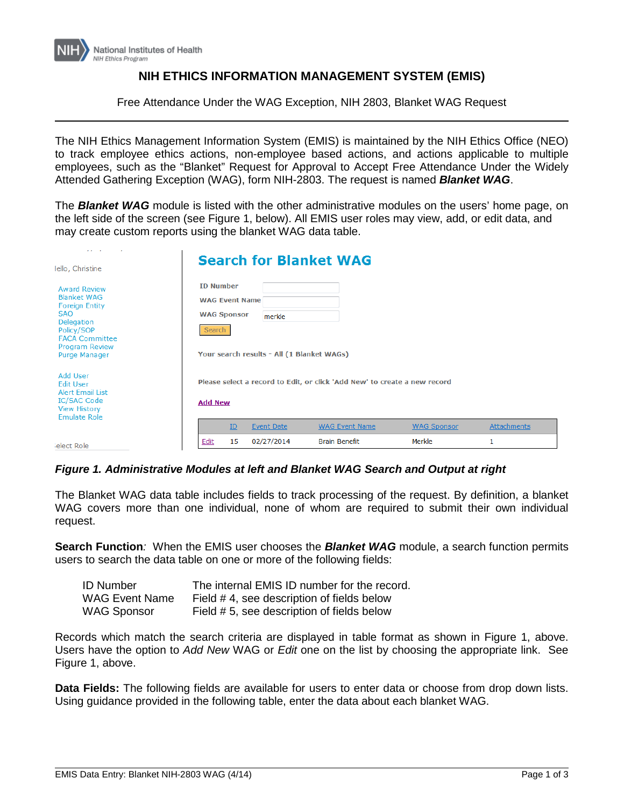

## **NIH ETHICS INFORMATION MANAGEMENT SYSTEM (EMIS)**

Free Attendance Under the WAG Exception, NIH 2803, Blanket WAG Request

The NIH Ethics Management Information System (EMIS) is maintained by the NIH Ethics Office (NEO) to track employee ethics actions, non-employee based actions, and actions applicable to multiple employees, such as the "Blanket" Request for Approval to Accept Free Attendance Under the Widely Attended Gathering Exception (WAG), form NIH-2803. The request is named *Blanket WAG*.

The *Blanket WAG* module is listed with the other administrative modules on the users' home page, on the left side of the screen (see Figure 1, below). All EMIS user roles may view, add, or edit data, and may create custom reports using the blanket WAG data table.

| and the state<br>Iello, Christine                                                                                                                                               |                                                                           |                                                                                             |                                                      | <b>Search for Blanket WAG</b> |                    |             |  |
|---------------------------------------------------------------------------------------------------------------------------------------------------------------------------------|---------------------------------------------------------------------------|---------------------------------------------------------------------------------------------|------------------------------------------------------|-------------------------------|--------------------|-------------|--|
| <b>Award Review</b><br><b>Blanket WAG</b><br><b>Foreign Entity</b><br><b>SAO</b><br>Delegation<br>Policy/SOP<br><b>FACA Committee</b><br><b>Program Review</b><br>Purge Manager | <b>ID Number</b><br><b>WAG Event Name</b><br><b>WAG Sponsor</b><br>Search |                                                                                             | merkle<br>Your search results - All (1 Blanket WAGs) |                               |                    |             |  |
| Add User<br><b>Edit User</b><br><b>Alert Email List</b><br>IC/SAC Code<br><b>View History</b><br><b>Emulate Role</b>                                                            |                                                                           | Please select a record to Edit, or click 'Add New' to create a new record<br><b>Add New</b> |                                                      |                               |                    |             |  |
|                                                                                                                                                                                 |                                                                           | ID                                                                                          | <b>Event Date</b>                                    | <b>WAG Event Name</b>         | <b>WAG Sponsor</b> | Attachments |  |
| ielect Role                                                                                                                                                                     | Edit                                                                      | 15                                                                                          | 02/27/2014                                           | <b>Brain Benefit</b>          | Merkle             | 1           |  |

## *Figure 1. Administrative Modules at left and Blanket WAG Search and Output at right*

The Blanket WAG data table includes fields to track processing of the request. By definition, a blanket WAG covers more than one individual, none of whom are required to submit their own individual request.

**Search Function***:* When the EMIS user chooses the *Blanket WAG* module, a search function permits users to search the data table on one or more of the following fields:

| <b>ID Number</b>      | The internal EMIS ID number for the record. |
|-----------------------|---------------------------------------------|
| <b>WAG Event Name</b> | Field #4, see description of fields below   |
| <b>WAG Sponsor</b>    | Field # 5, see description of fields below  |

Records which match the search criteria are displayed in table format as shown in Figure 1, above. Users have the option to *Add New* WAG or *Edit* one on the list by choosing the appropriate link. See Figure 1, above.

**Data Fields:** The following fields are available for users to enter data or choose from drop down lists. Using guidance provided in the following table, enter the data about each blanket WAG.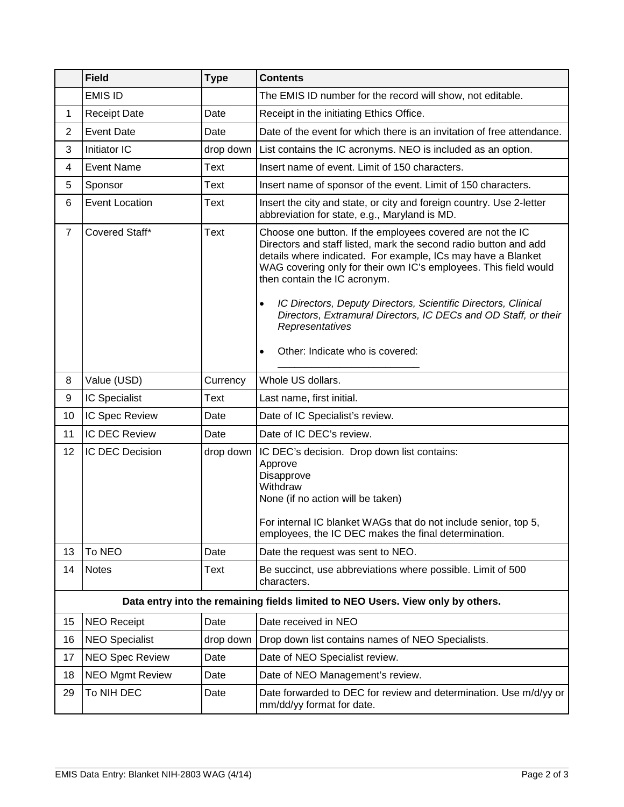|                | <b>Field</b>                                                                    | <b>Type</b> | <b>Contents</b>                                                                                                                                                                                                                                                                                                                                                                                                                                                         |  |  |  |
|----------------|---------------------------------------------------------------------------------|-------------|-------------------------------------------------------------------------------------------------------------------------------------------------------------------------------------------------------------------------------------------------------------------------------------------------------------------------------------------------------------------------------------------------------------------------------------------------------------------------|--|--|--|
|                | <b>EMIS ID</b>                                                                  |             | The EMIS ID number for the record will show, not editable.                                                                                                                                                                                                                                                                                                                                                                                                              |  |  |  |
| 1              | <b>Receipt Date</b>                                                             | Date        | Receipt in the initiating Ethics Office.                                                                                                                                                                                                                                                                                                                                                                                                                                |  |  |  |
| $\overline{2}$ | <b>Event Date</b>                                                               | Date        | Date of the event for which there is an invitation of free attendance.                                                                                                                                                                                                                                                                                                                                                                                                  |  |  |  |
| 3              | Initiator IC                                                                    | drop down   | List contains the IC acronyms. NEO is included as an option.                                                                                                                                                                                                                                                                                                                                                                                                            |  |  |  |
| 4              | <b>Event Name</b>                                                               | Text        | Insert name of event. Limit of 150 characters.                                                                                                                                                                                                                                                                                                                                                                                                                          |  |  |  |
| 5              | Sponsor                                                                         | Text        | Insert name of sponsor of the event. Limit of 150 characters.                                                                                                                                                                                                                                                                                                                                                                                                           |  |  |  |
| 6              | <b>Event Location</b>                                                           | Text        | Insert the city and state, or city and foreign country. Use 2-letter<br>abbreviation for state, e.g., Maryland is MD.                                                                                                                                                                                                                                                                                                                                                   |  |  |  |
| $\overline{7}$ | Covered Staff*                                                                  | <b>Text</b> | Choose one button. If the employees covered are not the IC<br>Directors and staff listed, mark the second radio button and add<br>details where indicated. For example, ICs may have a Blanket<br>WAG covering only for their own IC's employees. This field would<br>then contain the IC acronym.<br>IC Directors, Deputy Directors, Scientific Directors, Clinical<br>$\bullet$<br>Directors, Extramural Directors, IC DECs and OD Staff, or their<br>Representatives |  |  |  |
|                |                                                                                 |             | Other: Indicate who is covered:<br>$\bullet$                                                                                                                                                                                                                                                                                                                                                                                                                            |  |  |  |
| 8              | Value (USD)                                                                     | Currency    | Whole US dollars.                                                                                                                                                                                                                                                                                                                                                                                                                                                       |  |  |  |
| 9              | IC Specialist                                                                   | Text        | Last name, first initial.                                                                                                                                                                                                                                                                                                                                                                                                                                               |  |  |  |
| 10             | IC Spec Review                                                                  | Date        | Date of IC Specialist's review.                                                                                                                                                                                                                                                                                                                                                                                                                                         |  |  |  |
| 11             | IC DEC Review                                                                   | Date        | Date of IC DEC's review.                                                                                                                                                                                                                                                                                                                                                                                                                                                |  |  |  |
| 12             | IC DEC Decision                                                                 | drop down   | IC DEC's decision. Drop down list contains:<br>Approve<br>Disapprove<br>Withdraw<br>None (if no action will be taken)<br>For internal IC blanket WAGs that do not include senior, top 5.<br>employees, the IC DEC makes the final determination.                                                                                                                                                                                                                        |  |  |  |
| 13             | To NEO                                                                          | Date        | Date the request was sent to NEO.                                                                                                                                                                                                                                                                                                                                                                                                                                       |  |  |  |
| 14             | Notes                                                                           | <b>Text</b> | Be succinct, use abbreviations where possible. Limit of 500<br>characters.                                                                                                                                                                                                                                                                                                                                                                                              |  |  |  |
|                | Data entry into the remaining fields limited to NEO Users. View only by others. |             |                                                                                                                                                                                                                                                                                                                                                                                                                                                                         |  |  |  |
| 15             | <b>NEO Receipt</b>                                                              | Date        | Date received in NEO                                                                                                                                                                                                                                                                                                                                                                                                                                                    |  |  |  |
| 16             | <b>NEO Specialist</b>                                                           | drop down   | Drop down list contains names of NEO Specialists.                                                                                                                                                                                                                                                                                                                                                                                                                       |  |  |  |
| 17             | <b>NEO Spec Review</b>                                                          | Date        | Date of NEO Specialist review.                                                                                                                                                                                                                                                                                                                                                                                                                                          |  |  |  |
| 18             | <b>NEO Mgmt Review</b>                                                          | Date        | Date of NEO Management's review.                                                                                                                                                                                                                                                                                                                                                                                                                                        |  |  |  |
| 29             | To NIH DEC                                                                      | Date        | Date forwarded to DEC for review and determination. Use m/d/yy or<br>mm/dd/yy format for date.                                                                                                                                                                                                                                                                                                                                                                          |  |  |  |